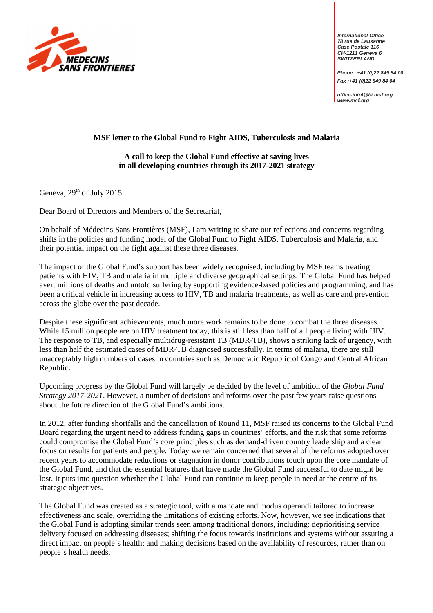

**International Office 78 rue de Lausanne Case Postale 116 CH-1211 Geneva 6 SWITZERLAND** 

**Phone : +41 (0)22 849 84 00 Fax :+41 (0)22 849 84 04** 

**office-intnl@bi.msf.org www.msf.org**

## **MSF letter to the Global Fund to Fight AIDS, Tuberculosis and Malaria**

## **A call to keep the Global Fund effective at saving lives in all developing countries through its 2017-2021 strategy**

Geneva,  $29<sup>th</sup>$  of July 2015

Dear Board of Directors and Members of the Secretariat,

On behalf of Médecins Sans Frontières (MSF), I am writing to share our reflections and concerns regarding shifts in the policies and funding model of the Global Fund to Fight AIDS, Tuberculosis and Malaria, and their potential impact on the fight against these three diseases.

The impact of the Global Fund's support has been widely recognised, including by MSF teams treating patients with HIV, TB and malaria in multiple and diverse geographical settings. The Global Fund has helped avert millions of deaths and untold suffering by supporting evidence-based policies and programming, and has been a critical vehicle in increasing access to HIV, TB and malaria treatments, as well as care and prevention across the globe over the past decade.

Despite these significant achievements, much more work remains to be done to combat the three diseases. While 15 million people are on HIV treatment today, this is still less than half of all people living with HIV. The response to TB, and especially multidrug-resistant TB (MDR-TB), shows a striking lack of urgency, with less than half the estimated cases of MDR-TB diagnosed successfully. In terms of malaria, there are still unacceptably high numbers of cases in countries such as Democratic Republic of Congo and Central African Republic.

Upcoming progress by the Global Fund will largely be decided by the level of ambition of the *Global Fund Strategy 2017-2021*. However, a number of decisions and reforms over the past few years raise questions about the future direction of the Global Fund's ambitions.

In 2012, after funding shortfalls and the cancellation of Round 11, MSF raised its concerns to the Global Fund Board regarding the urgent need to address funding gaps in countries' efforts, and the risk that some reforms could compromise the Global Fund's core principles such as demand-driven country leadership and a clear focus on results for patients and people. Today we remain concerned that several of the reforms adopted over recent years to accommodate reductions or stagnation in donor contributions touch upon the core mandate of the Global Fund, and that the essential features that have made the Global Fund successful to date might be lost. It puts into question whether the Global Fund can continue to keep people in need at the centre of its strategic objectives.

The Global Fund was created as a strategic tool, with a mandate and modus operandi tailored to increase effectiveness and scale, overriding the limitations of existing efforts. Now, however, we see indications that the Global Fund is adopting similar trends seen among traditional donors, including: deprioritising service delivery focused on addressing diseases; shifting the focus towards institutions and systems without assuring a direct impact on people's health; and making decisions based on the availability of resources, rather than on people's health needs.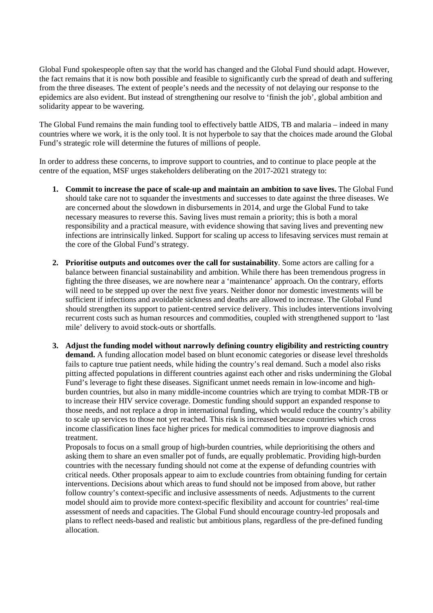Global Fund spokespeople often say that the world has changed and the Global Fund should adapt. However, the fact remains that it is now both possible and feasible to significantly curb the spread of death and suffering from the three diseases. The extent of people's needs and the necessity of not delaying our response to the epidemics are also evident. But instead of strengthening our resolve to 'finish the job', global ambition and solidarity appear to be wavering.

The Global Fund remains the main funding tool to effectively battle AIDS, TB and malaria – indeed in many countries where we work, it is the only tool. It is not hyperbole to say that the choices made around the Global Fund's strategic role will determine the futures of millions of people.

In order to address these concerns, to improve support to countries, and to continue to place people at the centre of the equation, MSF urges stakeholders deliberating on the 2017-2021 strategy to:

- **1. Commit to increase the pace of scale-up and maintain an ambition to save lives.** The Global Fund should take care not to squander the investments and successes to date against the three diseases. We are concerned about the slowdown in disbursements in 2014, and urge the Global Fund to take necessary measures to reverse this. Saving lives must remain a priority; this is both a moral responsibility and a practical measure, with evidence showing that saving lives and preventing new infections are intrinsically linked. Support for scaling up access to lifesaving services must remain at the core of the Global Fund's strategy.
- **2. Prioritise outputs and outcomes over the call for sustainability**. Some actors are calling for a balance between financial sustainability and ambition. While there has been tremendous progress in fighting the three diseases, we are nowhere near a 'maintenance' approach. On the contrary, efforts will need to be stepped up over the next five years. Neither donor nor domestic investments will be sufficient if infections and avoidable sickness and deaths are allowed to increase. The Global Fund should strengthen its support to patient-centred service delivery. This includes interventions involving recurrent costs such as human resources and commodities, coupled with strengthened support to 'last mile' delivery to avoid stock-outs or shortfalls.
- **3. Adjust the funding model without narrowly defining country eligibility and restricting country demand.** A funding allocation model based on blunt economic categories or disease level thresholds fails to capture true patient needs, while hiding the country's real demand. Such a model also risks pitting affected populations in different countries against each other and risks undermining the Global Fund's leverage to fight these diseases. Significant unmet needs remain in low-income and highburden countries, but also in many middle-income countries which are trying to combat MDR-TB or to increase their HIV service coverage. Domestic funding should support an expanded response to those needs, and not replace a drop in international funding, which would reduce the country's ability to scale up services to those not yet reached. This risk is increased because countries which cross income classification lines face higher prices for medical commodities to improve diagnosis and treatment.

Proposals to focus on a small group of high-burden countries, while deprioritising the others and asking them to share an even smaller pot of funds, are equally problematic. Providing high-burden countries with the necessary funding should not come at the expense of defunding countries with critical needs. Other proposals appear to aim to exclude countries from obtaining funding for certain interventions. Decisions about which areas to fund should not be imposed from above, but rather follow country's context-specific and inclusive assessments of needs. Adjustments to the current model should aim to provide more context-specific flexibility and account for countries' real-time assessment of needs and capacities. The Global Fund should encourage country-led proposals and plans to reflect needs-based and realistic but ambitious plans, regardless of the pre-defined funding allocation.